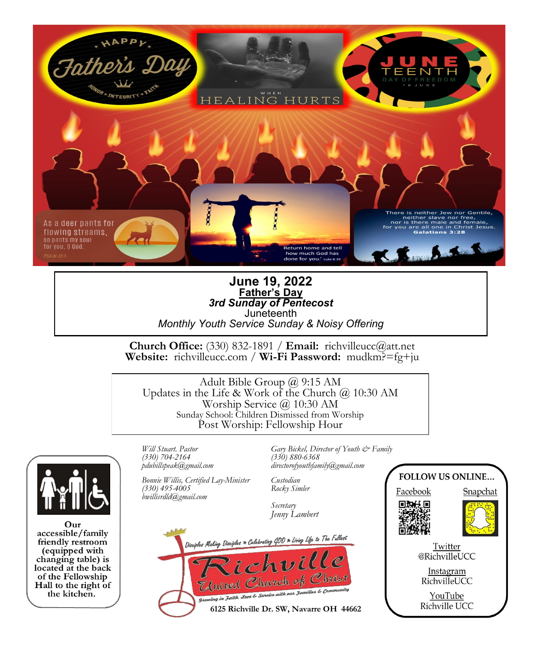

#### **June 19, 2022 Father's Day** *3rd Sunday of Pentecost* **Juneteenth** *Monthly Youth Service Sunday & Noisy Offering*

**Church Office:** (330) 832-1891 / **Email:** richvilleucc@att.net **Website:** richvilleucc.com / **Wi-Fi Password:** mudkm?=fg+ju

Adult Bible Group @ 9:15 AM Updates in the Life & Work of the Church  $\omega$  10:30 AM Worship Service @ 10:30 AM Sunday School: Children Dismissed from Worship Post Worship: Fellowship Hour



Our accessible/family friendly restroom (equipped with changing table) is located at the back of the Fellowship Hall to the right of the kitchen.

*(330) 704-2164 (330) 880-6368* 

*Bonnie Willis, Certified Lay-Minister Custodian (330) 495-4005 Rocky Simler bwillisrdld@gmail.com* 

*Will Stuart. Pastor Gary Bickel, Director of Youth & Family pdubillspeak@gmail.com directorofyouthfamily@gmail.com*

*Secretary Jenny Lambert*



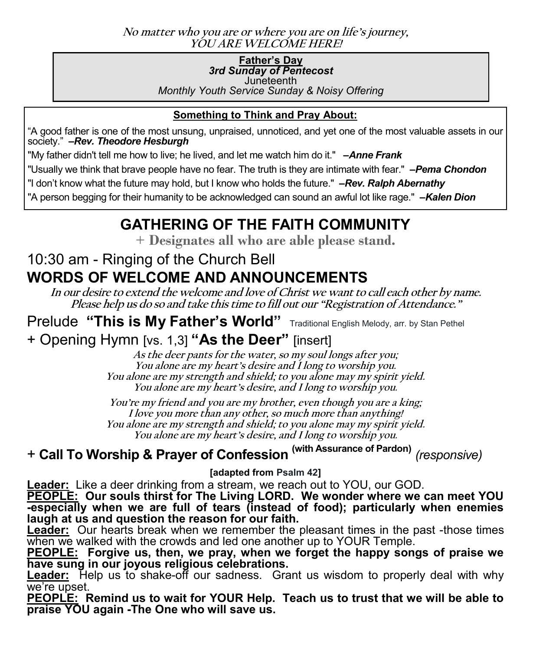**No matter who you are or where you are on life's journey, YOU ARE WELCOME HERE!**

#### **Father's Day** *3rd Sunday of Pentecost* Juneteenth *Monthly Youth Service Sunday & Noisy Offering*

### **Something to Think and Pray About:**

"A good father is one of the most unsung, unpraised, unnoticed, and yet one of the most valuable assets in our society." *–Rev. Theodore Hesburgh*

"My father didn't tell me how to live; he lived, and let me watch him do it." *–Anne Frank*

"Usually we think that brave people have no fear. The truth is they are intimate with fear." *–Pema Chondon*

"I don't know what the future may hold, but I know who holds the future." *–Rev. Ralph Abernathy*

"A person begging for their humanity to be acknowledged can sound an awful lot like rage." *–Kalen Dion*

# **GATHERING OF THE FAITH COMMUNITY**

+ **Designates all who are able please stand.**

### 10:30 am - Ringing of the Church Bell **WORDS OF WELCOME AND ANNOUNCEMENTS**

**In our desire to extend the welcome and love of Christ we want to call each other by name. Please help us do so and take this time to fill out our "Registration of Attendance."** 

Prelude **"This is My Father's World"** Traditional English Melody, arr. by Stan Pethel

+ Opening Hymn [vs. 1,3] **"As the Deer"** [insert]

**As the deer pants for the water, so my soul longs after you; You alone are my heart's desire and I long to worship you. You alone are my strength and shield; to you alone may my spirit yield. You alone are my heart's desire, and I long to worship you.**

**You're my friend and you are my brother, even though you are a king; I love you more than any other, so much more than anything! You alone are my strength and shield; to you alone may my spirit yield. You alone are my heart's desire, and I long to worship you.**

# + **Call To Worship & Prayer of Confession (with Assurance of Pardon)** *(responsive)*

**[adapted from Psalm 42]**

**Leader:** Like a deer drinking from a stream, we reach out to YOU, our GOD.

**PEOPLE: Our souls thirst for The Living LORD. We wonder where we can meet YOU -especially when we are full of tears (instead of food); particularly when enemies laugh at us and question the reason for our faith.**

**Leader:** Our hearts break when we remember the pleasant times in the past -those times when we walked with the crowds and led one another up to YOUR Temple.

**PEOPLE: Forgive us, then, we pray, when we forget the happy songs of praise we have sung in our joyous religious celebrations.**

**Leader:** Help us to shake-off our sadness. Grant us wisdom to properly deal with why we're upset.

**PEOPLE: Remind us to wait for YOUR Help. Teach us to trust that we will be able to praise YOU again -The One who will save us.**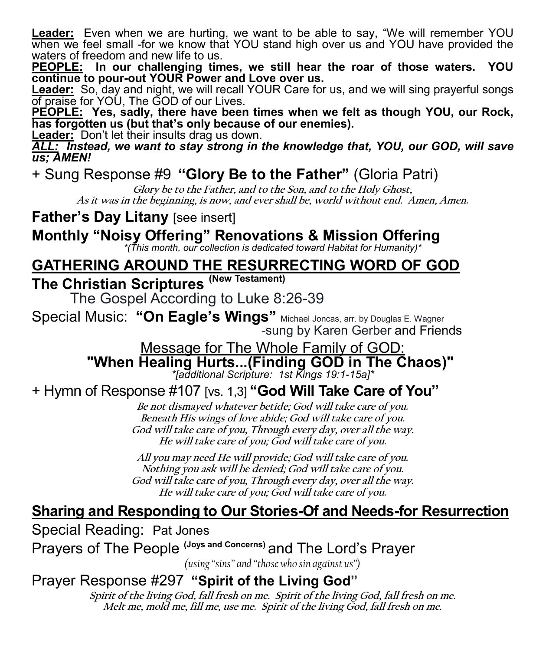**Leader:** Even when we are hurting, we want to be able to say, "We will remember YOU when we feel small -for we know that YOU stand high over us and YOU have provided the waters of freedom and new life to us.

**PEOPLE: In our challenging times, we still hear the roar of those waters. YOU continue to pour-out YOUR Power and Love over us.**

**Leader:** So, day and night, we will recall YOUR Care for us, and we will sing prayerful songs of praise for YOU, The GOD of our Lives.

**PEOPLE: Yes, sadly, there have been times when we felt as though YOU, our Rock, has forgotten us (but that's only because of our enemies).**

**Leader:** Don't let their insults drag us down.

*ALL: Instead, we want to stay strong in the knowledge that, YOU, our GOD, will save us; AMEN!*

### + Sung Response #9**"Glory Be to the Father"** (Gloria Patri)

**Glory be to the Father, and to the Son, and to the Holy Ghost, As it was in the beginning, is now, and ever shall be, world without end. Amen, Amen.**

**Father's Day Litany** [see insert]

# **Monthly "Noisy Offering" Renovations & Mission Offering**

*\*(This month, our collection is dedicated toward Habitat for Humanity)\** 

## **GATHERING AROUND THE RESURRECTING WORD OF GOD**

# **The Christian Scriptures (New Testament)**

The Gospel According to Luke 8:26-39

Special Music: **"On Eagle's Wings"** Michael Joncas, arr. by Douglas E. Wagner -sung by Karen Gerber and Friends

### Message for The Whole Family of GOD:

### **"When Healing Hurts...(Finding GOD in The Chaos)"**

*\*[additional Scripture: 1st Kings 19:1-15a]\** 

# + Hymn of Response #107 [vs. 1,3] **"God Will Take Care of You"**

**Be not dismayed whatever betide; God will take care of you. Beneath His wings of love abide; God will take care of you. God will take care of you, Through every day, over all the way. He will take care of you; God will take care of you.**

**All you may need He will provide; God will take care of you. Nothing you ask will be denied; God will take care of you. God will take care of you, Through every day, over all the way. He will take care of you; God will take care of you.**

# **Sharing and Responding to Our Stories-Of and Needs-for Resurrection**

Special Reading: Pat Jones

Prayers of The People **(Joys and Concerns)** and The Lord's Prayer

*(using "sins" and "those who sin against us")* 

# Prayer Response #297 **"Spirit of the Living God"**

**Spirit of the living God, fall fresh on me. Spirit of the living God, fall fresh on me. Melt me, mold me, fill me, use me. Spirit of the living God, fall fresh on me.**